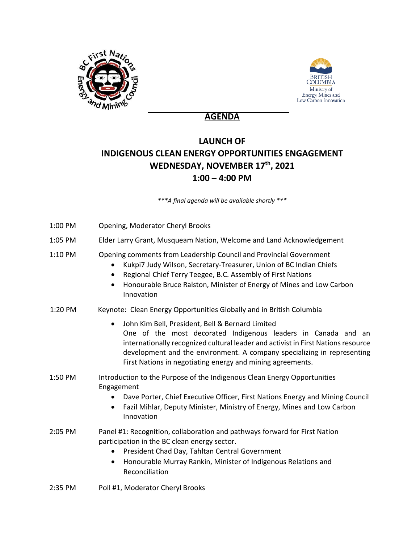



## **AGENDA**

## **LAUNCH OF INDIGENOUS CLEAN ENERGY OPPORTUNITIES ENGAGEMENT WEDNESDAY, NOVEMBER 17th, 2021 1:00 – 4:00 PM**

*\*\*\*A final agenda will be available shortly \*\*\**

| 1:00 PM | Opening, Moderator Cheryl Brooks                                                                                                                                                                                                                                                                                                                             |
|---------|--------------------------------------------------------------------------------------------------------------------------------------------------------------------------------------------------------------------------------------------------------------------------------------------------------------------------------------------------------------|
| 1:05 PM | Elder Larry Grant, Musqueam Nation, Welcome and Land Acknowledgement                                                                                                                                                                                                                                                                                         |
| 1:10 PM | Opening comments from Leadership Council and Provincial Government<br>Kukpi7 Judy Wilson, Secretary-Treasurer, Union of BC Indian Chiefs<br>Regional Chief Terry Teegee, B.C. Assembly of First Nations<br>$\bullet$<br>Honourable Bruce Ralston, Minister of Energy of Mines and Low Carbon<br>$\bullet$<br>Innovation                                      |
| 1:20 PM | Keynote: Clean Energy Opportunities Globally and in British Columbia                                                                                                                                                                                                                                                                                         |
|         | John Kim Bell, President, Bell & Bernard Limited<br>$\bullet$<br>One of the most decorated Indigenous leaders in Canada and an<br>internationally recognized cultural leader and activist in First Nations resource<br>development and the environment. A company specializing in representing<br>First Nations in negotiating energy and mining agreements. |
| 1:50 PM | Introduction to the Purpose of the Indigenous Clean Energy Opportunities<br>Engagement<br>Dave Porter, Chief Executive Officer, First Nations Energy and Mining Council<br>Fazil Mihlar, Deputy Minister, Ministry of Energy, Mines and Low Carbon<br>$\bullet$<br>Innovation                                                                                |
| 2:05 PM | Panel #1: Recognition, collaboration and pathways forward for First Nation<br>participation in the BC clean energy sector.<br>President Chad Day, Tahltan Central Government<br>$\bullet$<br>Honourable Murray Rankin, Minister of Indigenous Relations and<br>$\bullet$<br>Reconciliation                                                                   |
| 2:35 PM | Poll #1, Moderator Cheryl Brooks                                                                                                                                                                                                                                                                                                                             |